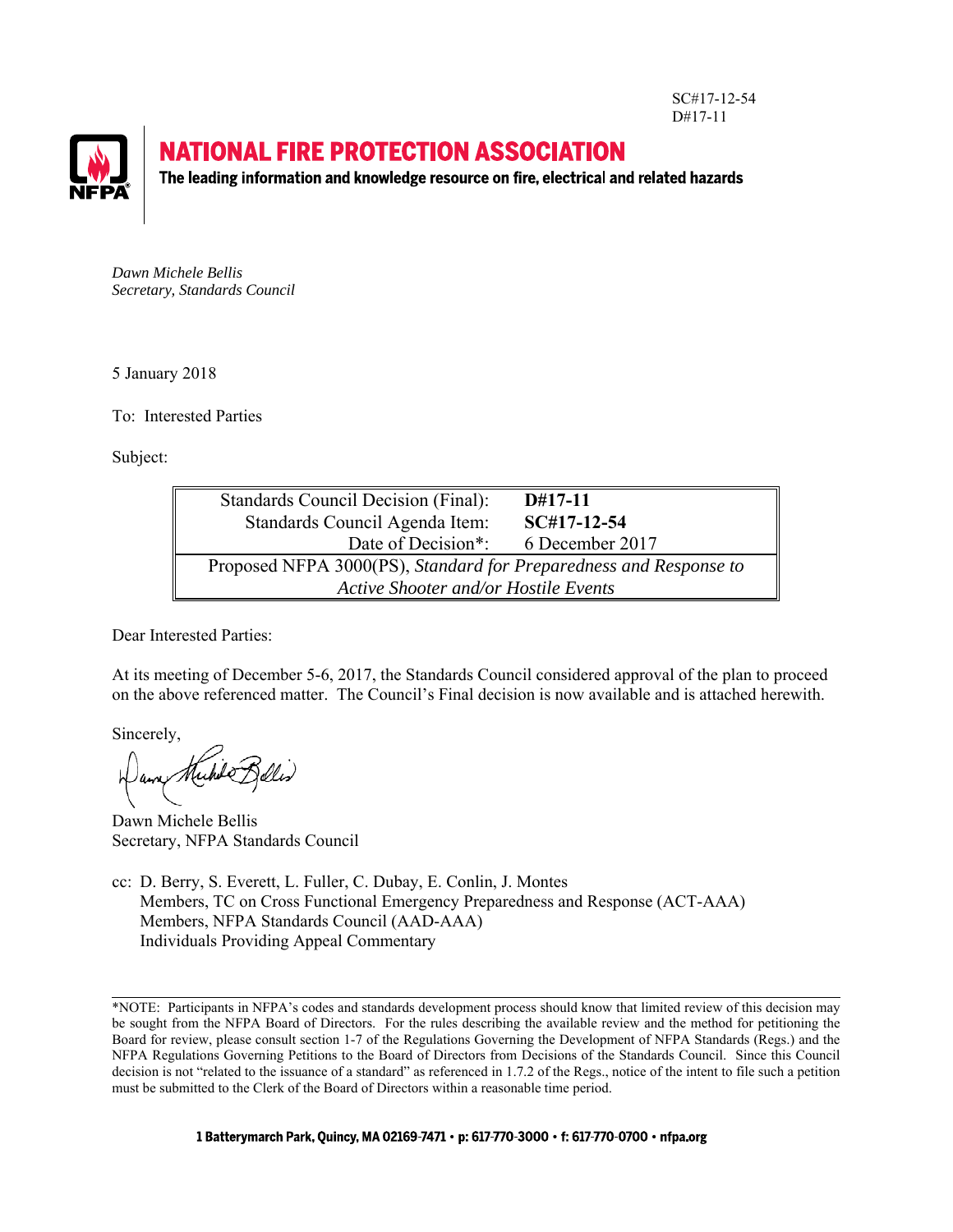SC#17-12-54 D#17-11



# **NATIONAL FIRE PROTECTION ASSOCIATION**

The leading information and knowledge resource on fire, electrical and related hazards

*Dawn Michele Bellis Secretary, Standards Council*

5 January 2018

To: Interested Parties

Subject:

| Standards Council Decision (Final):                               | $D#17-11$       |
|-------------------------------------------------------------------|-----------------|
| Standards Council Agenda Item:                                    | $SC#17-12-54$   |
| Date of Decision <sup>*</sup> :                                   | 6 December 2017 |
| Proposed NFPA 3000(PS), Standard for Preparedness and Response to |                 |
| Active Shooter and/or Hostile Events                              |                 |

Dear Interested Parties:

At its meeting of December 5-6, 2017, the Standards Council considered approval of the plan to proceed on the above referenced matter. The Council's Final decision is now available and is attached herewith.

Sincerely,

Dawn Michele Bellis Secretary, NFPA Standards Council

cc: D. Berry, S. Everett, L. Fuller, C. Dubay, E. Conlin, J. Montes Members, TC on Cross Functional Emergency Preparedness and Response (ACT-AAA) Members, NFPA Standards Council (AAD-AAA) Individuals Providing Appeal Commentary

l \*NOTE: Participants in NFPA's codes and standards development process should know that limited review of this decision may be sought from the NFPA Board of Directors. For the rules describing the available review and the method for petitioning the Board for review, please consult section 1-7 of the Regulations Governing the Development of NFPA Standards (Regs.) and the NFPA Regulations Governing Petitions to the Board of Directors from Decisions of the Standards Council. Since this Council decision is not "related to the issuance of a standard" as referenced in 1.7.2 of the Regs., notice of the intent to file such a petition must be submitted to the Clerk of the Board of Directors within a reasonable time period.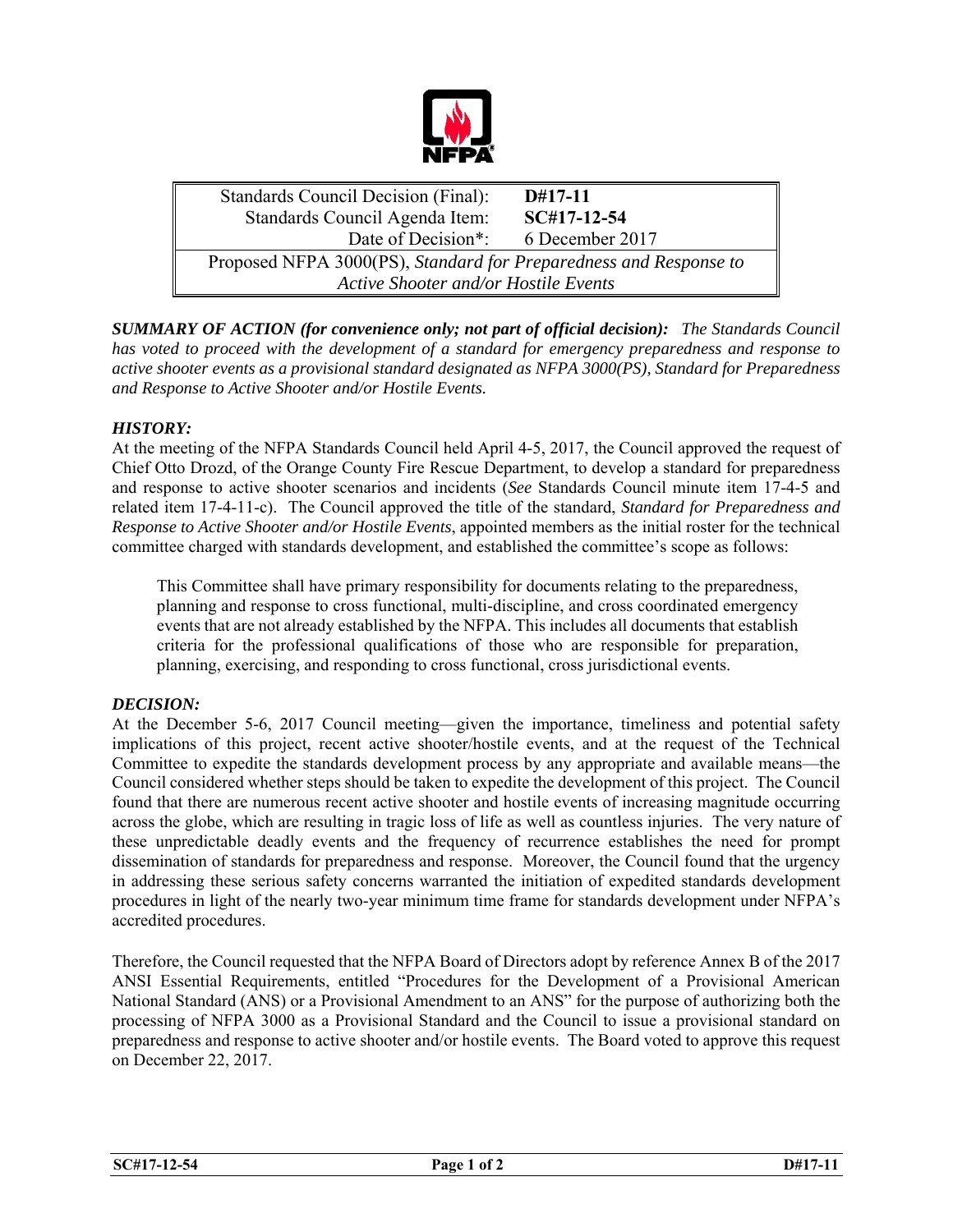

 Standards Council Decision (Final): **D#17-11** Standards Council Agenda Item: **SC#17-12-54** Date of Decision\*: 6 December 2017 Proposed NFPA 3000(PS), *Standard for Preparedness and Response to Active Shooter and/or Hostile Events*

*SUMMARY OF ACTION (for convenience only; not part of official decision): The Standards Council has voted to proceed with the development of a standard for emergency preparedness and response to active shooter events as a provisional standard designated as NFPA 3000(PS), Standard for Preparedness and Response to Active Shooter and/or Hostile Events.* 

# *HISTORY:*

At the meeting of the NFPA Standards Council held April 4-5, 2017, the Council approved the request of Chief Otto Drozd, of the Orange County Fire Rescue Department, to develop a standard for preparedness and response to active shooter scenarios and incidents (*See* Standards Council minute item 17-4-5 and related item 17-4-11-c). The Council approved the title of the standard, *Standard for Preparedness and Response to Active Shooter and/or Hostile Events*, appointed members as the initial roster for the technical committee charged with standards development, and established the committee's scope as follows:

This Committee shall have primary responsibility for documents relating to the preparedness, planning and response to cross functional, multi-discipline, and cross coordinated emergency events that are not already established by the NFPA. This includes all documents that establish criteria for the professional qualifications of those who are responsible for preparation, planning, exercising, and responding to cross functional, cross jurisdictional events.

# *DECISION:*

At the December 5-6, 2017 Council meeting—given the importance, timeliness and potential safety implications of this project, recent active shooter/hostile events, and at the request of the Technical Committee to expedite the standards development process by any appropriate and available means—the Council considered whether steps should be taken to expedite the development of this project. The Council found that there are numerous recent active shooter and hostile events of increasing magnitude occurring across the globe, which are resulting in tragic loss of life as well as countless injuries. The very nature of these unpredictable deadly events and the frequency of recurrence establishes the need for prompt dissemination of standards for preparedness and response. Moreover, the Council found that the urgency in addressing these serious safety concerns warranted the initiation of expedited standards development procedures in light of the nearly two-year minimum time frame for standards development under NFPA's accredited procedures.

Therefore, the Council requested that the NFPA Board of Directors adopt by reference Annex B of the 2017 ANSI Essential Requirements, entitled "Procedures for the Development of a Provisional American National Standard (ANS) or a Provisional Amendment to an ANS" for the purpose of authorizing both the processing of NFPA 3000 as a Provisional Standard and the Council to issue a provisional standard on preparedness and response to active shooter and/or hostile events. The Board voted to approve this request on December 22, 2017.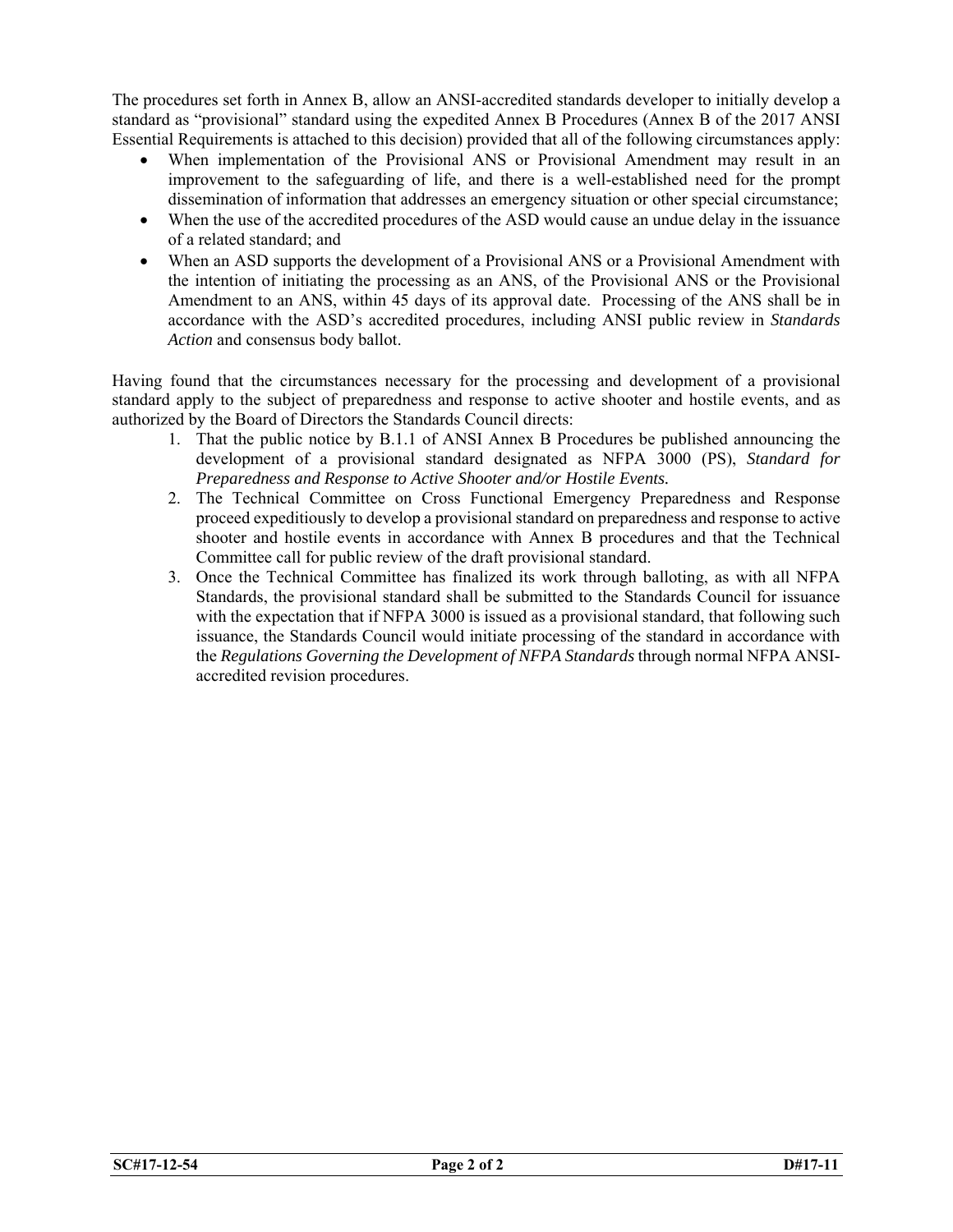The procedures set forth in Annex B, allow an ANSI-accredited standards developer to initially develop a standard as "provisional" standard using the expedited Annex B Procedures (Annex B of the 2017 ANSI Essential Requirements is attached to this decision) provided that all of the following circumstances apply:

- When implementation of the Provisional ANS or Provisional Amendment may result in an improvement to the safeguarding of life, and there is a well-established need for the prompt dissemination of information that addresses an emergency situation or other special circumstance;
- When the use of the accredited procedures of the ASD would cause an undue delay in the issuance of a related standard; and
- When an ASD supports the development of a Provisional ANS or a Provisional Amendment with the intention of initiating the processing as an ANS, of the Provisional ANS or the Provisional Amendment to an ANS, within 45 days of its approval date. Processing of the ANS shall be in accordance with the ASD's accredited procedures, including ANSI public review in *Standards Action* and consensus body ballot.

Having found that the circumstances necessary for the processing and development of a provisional standard apply to the subject of preparedness and response to active shooter and hostile events, and as authorized by the Board of Directors the Standards Council directs:

- 1. That the public notice by B.1.1 of ANSI Annex B Procedures be published announcing the development of a provisional standard designated as NFPA 3000 (PS), *Standard for Preparedness and Response to Active Shooter and/or Hostile Events.*
- 2. The Technical Committee on Cross Functional Emergency Preparedness and Response proceed expeditiously to develop a provisional standard on preparedness and response to active shooter and hostile events in accordance with Annex B procedures and that the Technical Committee call for public review of the draft provisional standard.
- 3. Once the Technical Committee has finalized its work through balloting, as with all NFPA Standards, the provisional standard shall be submitted to the Standards Council for issuance with the expectation that if NFPA 3000 is issued as a provisional standard, that following such issuance, the Standards Council would initiate processing of the standard in accordance with the *Regulations Governing the Development of NFPA Standards* through normal NFPA ANSIaccredited revision procedures.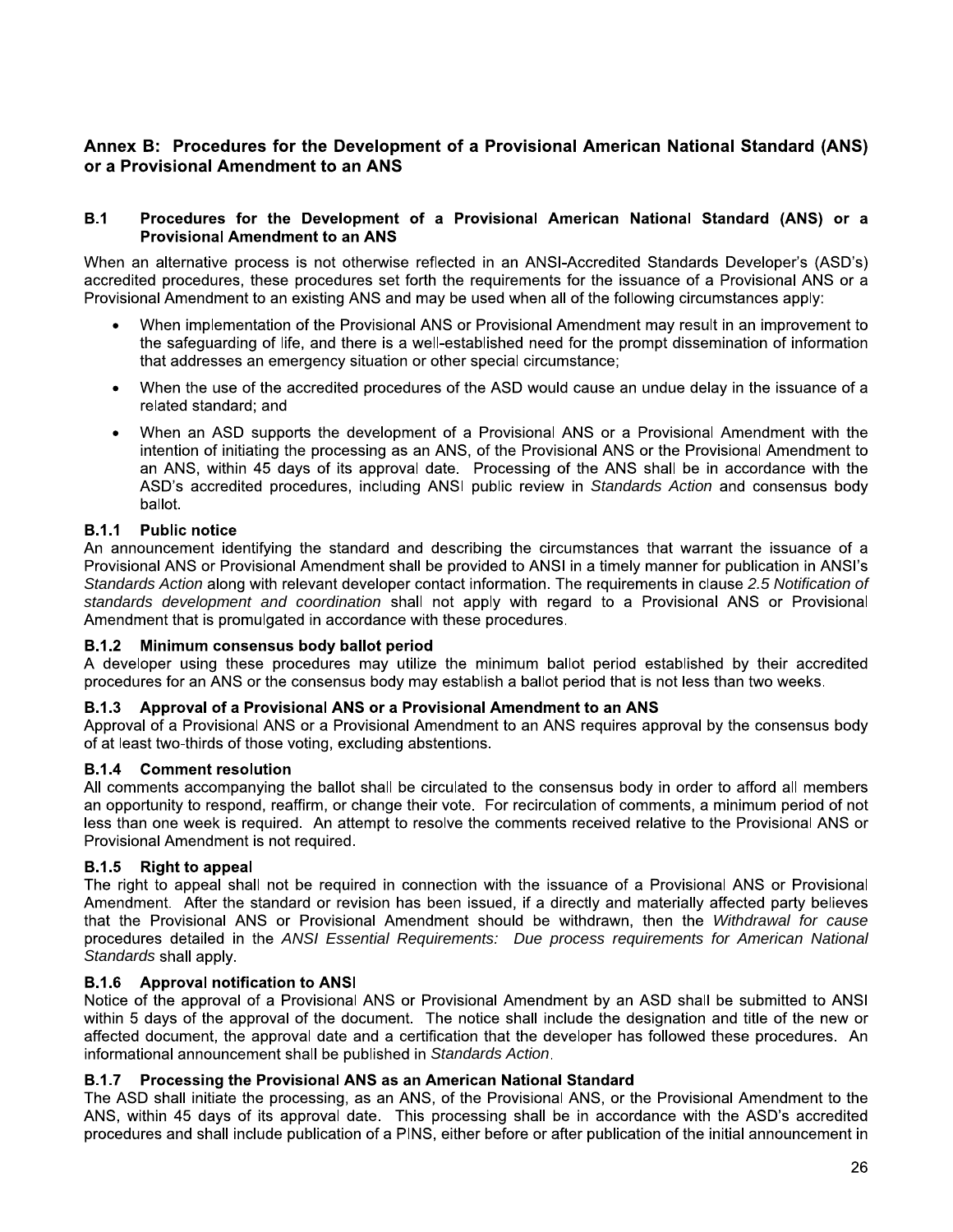# Annex B: Procedures for the Development of a Provisional American National Standard (ANS) or a Provisional Amendment to an ANS

#### $B.1$ Procedures for the Development of a Provisional American National Standard (ANS) or a **Provisional Amendment to an ANS**

When an alternative process is not otherwise reflected in an ANSI-Accredited Standards Developer's (ASD's) accredited procedures, these procedures set forth the requirements for the issuance of a Provisional ANS or a Provisional Amendment to an existing ANS and may be used when all of the following circumstances apply:

- When implementation of the Provisional ANS or Provisional Amendment may result in an improvement to the safeguarding of life, and there is a well-established need for the prompt dissemination of information that addresses an emergency situation or other special circumstance;
- When the use of the accredited procedures of the ASD would cause an undue delay in the issuance of a related standard: and
- When an ASD supports the development of a Provisional ANS or a Provisional Amendment with the intention of initiating the processing as an ANS, of the Provisional ANS or the Provisional Amendment to an ANS, within 45 days of its approval date. Processing of the ANS shall be in accordance with the ASD's accredited procedures, including ANSI public review in Standards Action and consensus body ballot.

#### **B.1.1 Public notice**

An announcement identifying the standard and describing the circumstances that warrant the issuance of a Provisional ANS or Provisional Amendment shall be provided to ANSI in a timely manner for publication in ANSI's Standards Action along with relevant developer contact information. The requirements in clause 2.5 Notification of standards development and coordination shall not apply with regard to a Provisional ANS or Provisional Amendment that is promulgated in accordance with these procedures.

### B.1.2 Minimum consensus body ballot period

A developer using these procedures may utilize the minimum ballot period established by their accredited procedures for an ANS or the consensus body may establish a ballot period that is not less than two weeks.

#### Approval of a Provisional ANS or a Provisional Amendment to an ANS **B.1.3**

Approval of a Provisional ANS or a Provisional Amendment to an ANS requires approval by the consensus body of at least two-thirds of those voting, excluding abstentions.

#### **B.1.4** Comment resolution

All comments accompanying the ballot shall be circulated to the consensus body in order to afford all members an opportunity to respond, reaffirm, or change their vote. For recirculation of comments, a minimum period of not less than one week is required. An attempt to resolve the comments received relative to the Provisional ANS or Provisional Amendment is not required.

### **B.1.5** Right to appeal

The right to appeal shall not be required in connection with the issuance of a Provisional ANS or Provisional Amendment. After the standard or revision has been issued, if a directly and materially affected party believes that the Provisional ANS or Provisional Amendment should be withdrawn, then the Withdrawal for cause procedures detailed in the ANSI Essential Requirements: Due process requirements for American National Standards shall apply.

#### **B.1.6** Approval notification to ANSI

Notice of the approval of a Provisional ANS or Provisional Amendment by an ASD shall be submitted to ANSI within 5 days of the approval of the document. The notice shall include the designation and title of the new or affected document, the approval date and a certification that the developer has followed these procedures. An informational announcement shall be published in Standards Action.

#### Processing the Provisional ANS as an American National Standard **B.1.7**

The ASD shall initiate the processing, as an ANS, of the Provisional ANS, or the Provisional Amendment to the ANS, within 45 days of its approval date. This processing shall be in accordance with the ASD's accredited procedures and shall include publication of a PINS, either before or after publication of the initial announcement in